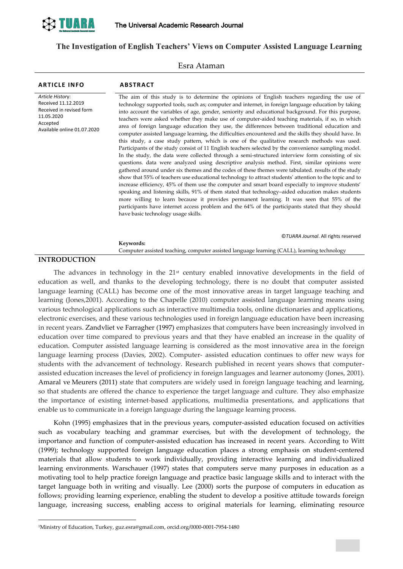

# **The Investigation of English Teachers' Views on Computer Assisted Language Learning**

Esra Ataman

| <b>ARTICLE INFO</b>                                                                                                          | <b>ABSTRACT</b>                                                                                                                                                                                                                                                                                                                                                                                                                                                                                                                                                                                                                                                                                                                                                                                                                                                                                                                                                                                                                                                                                                                                                                                                                                                                                                                                                                                                                                                                                                                                                                                                                                                                                         |
|------------------------------------------------------------------------------------------------------------------------------|---------------------------------------------------------------------------------------------------------------------------------------------------------------------------------------------------------------------------------------------------------------------------------------------------------------------------------------------------------------------------------------------------------------------------------------------------------------------------------------------------------------------------------------------------------------------------------------------------------------------------------------------------------------------------------------------------------------------------------------------------------------------------------------------------------------------------------------------------------------------------------------------------------------------------------------------------------------------------------------------------------------------------------------------------------------------------------------------------------------------------------------------------------------------------------------------------------------------------------------------------------------------------------------------------------------------------------------------------------------------------------------------------------------------------------------------------------------------------------------------------------------------------------------------------------------------------------------------------------------------------------------------------------------------------------------------------------|
| Article History:<br>Received 11.12.2019<br>Received in revised form<br>11.05.2020<br>Accepted<br>Available online 01.07.2020 | The aim of this study is to determine the opinions of English teachers regarding the use of<br>technology supported tools, such as; computer and internet, in foreign language education by taking<br>into account the variables of age, gender, seniority and educational background. For this purpose,<br>teachers were asked whether they make use of computer-aided teaching materials, if so, in which<br>area of foreign language education they use, the differences between traditional education and<br>computer assisted language learning, the difficulties encountered and the skills they should have. In<br>this study, a case study pattern, which is one of the qualitative research methods was used.<br>Participants of the study consist of 11 English teachers selected by the convenience sampling model.<br>In the study, the data were collected through a semi-structured interview form consisting of six<br>questions. data were analyzed using descriptive analysis method. First, similar opinions were<br>gathered around under six themes and the codes of these themes were tabulated. results of the study<br>show that 55% of teachers use educational technology to attract students' attention to the topic and to<br>increase efficiency, 45% of them use the computer and smart board especially to improve students'<br>speaking and listening skills, 91% of them stated that technology-aided education makes students<br>more willing to learn because it provides permanent learning. It was seen that 55% of the<br>participants have internet access problem and the 64% of the participants stated that they should<br>have basic technology usage skills. |
|                                                                                                                              | ©TUARA Journal. All rights reserved                                                                                                                                                                                                                                                                                                                                                                                                                                                                                                                                                                                                                                                                                                                                                                                                                                                                                                                                                                                                                                                                                                                                                                                                                                                                                                                                                                                                                                                                                                                                                                                                                                                                     |
|                                                                                                                              | Keywords:                                                                                                                                                                                                                                                                                                                                                                                                                                                                                                                                                                                                                                                                                                                                                                                                                                                                                                                                                                                                                                                                                                                                                                                                                                                                                                                                                                                                                                                                                                                                                                                                                                                                                               |
|                                                                                                                              | Computer assisted teaching, computer assisted language learning (CALL), learning technology                                                                                                                                                                                                                                                                                                                                                                                                                                                                                                                                                                                                                                                                                                                                                                                                                                                                                                                                                                                                                                                                                                                                                                                                                                                                                                                                                                                                                                                                                                                                                                                                             |
| <b>INTRODHCTION</b>                                                                                                          |                                                                                                                                                                                                                                                                                                                                                                                                                                                                                                                                                                                                                                                                                                                                                                                                                                                                                                                                                                                                                                                                                                                                                                                                                                                                                                                                                                                                                                                                                                                                                                                                                                                                                                         |

## **INTRODUCTION**

-

The advances in technology in the  $21<sup>st</sup>$  century enabled innovative developments in the field of education as well, and thanks to the developing technology, there is no doubt that computer assisted language learning (CALL) has become one of the most innovative areas in target language teaching and learning (Jones,2001). According to the Chapelle (2010) computer assisted language learning means using various technological applications such as interactive multimedia tools, online dictionaries and applications, electronic exercises, and these various technologies used in foreign language education have been increasing in recent years. Zandvliet ve Farragher (1997) emphasizes that computers have been increasingly involved in education over time compared to previous years and that they have enabled an increase in the quality of education. Computer assisted language learning is considered as the most innovative area in the foreign language learning process (Davies, 2002). Computer- assisted education continues to offer new ways for students with the advancement of technology. Research published in recent years shows that computerassisted education increases the level of proficiency in foreign languages and learner autonomy (Jones, 2001). Amaral ve Meurers (2011) state that computers are widely used in foreign language teaching and learning, so that students are offered the chance to experience the target language and culture. They also emphasize the importance of existing internet-based applications, multimedia presentations, and applications that enable us to communicate in a foreign language during the language learning process.

Kohn (1995) emphasizes that in the previous years, computer-assisted education focused on activities such as vocabulary teaching and grammar exercises, but with the development of technology, the importance and function of computer-assisted education has increased in recent years. According to Witt (1999); technology supported foreign language education places a strong emphasis on student-centered materials that allow students to work individually, providing interactive learning and individualized learning environments. Warschauer (1997) states that computers serve many purposes in education as a motivating tool to help practice foreign language and practice basic language skills and to interact with the target language both in writing and visually. Lee (2000) sorts the purpose of computers in education as follows; providing learning experience, enabling the student to develop a positive attitude towards foreign language, increasing success, enabling access to original materials for learning, eliminating resource

<sup>1</sup>Ministry of Education, Turkey, guz.esra@gmail.com, orcid.org/0000-0001-7954-1480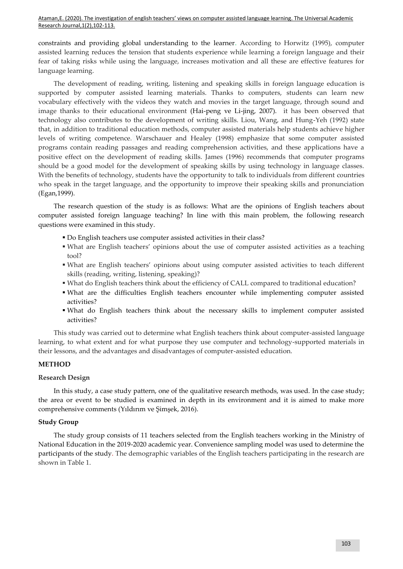constraints and providing global understanding to the learner. According to Horwitz (1995), computer assisted learning reduces the tension that students experience while learning a foreign language and their fear of taking risks while using the language, increases motivation and all these are effective features for language learning.

The development of reading, writing, listening and speaking skills in foreign language education is supported by computer assisted learning materials. Thanks to computers, students can learn new vocabulary effectively with the videos they watch and movies in the target language, through sound and image thanks to their educational environment (Hai-peng ve Li-jing, 2007). it has been observed that technology also contributes to the development of writing skills. Liou, Wang, and Hung-Yeh (1992) state that, in addition to traditional education methods, computer assisted materials help students achieve higher levels of writing competence. Warschauer and Healey (1998) emphasize that some computer assisted programs contain reading passages and reading comprehension activities, and these applications have a positive effect on the development of reading skills. James (1996) recommends that computer programs should be a good model for the development of speaking skills by using technology in language classes. With the benefits of technology, students have the opportunity to talk to individuals from different countries who speak in the target language, and the opportunity to improve their speaking skills and pronunciation (Egan,1999).

The research question of the study is as follows: What are the opinions of English teachers about computer assisted foreign language teaching? In line with this main problem, the following research questions were examined in this study.

- Do English teachers use computer assisted activities in their class?
- What are English teachers' opinions about the use of computer assisted activities as a teaching tool?
- What are English teachers' opinions about using computer assisted activities to teach different skills (reading, writing, listening, speaking)?
- What do English teachers think about the efficiency of CALL compared to traditional education?
- What are the difficulties English teachers encounter while implementing computer assisted activities?
- What do English teachers think about the necessary skills to implement computer assisted activities?

This study was carried out to determine what English teachers think about computer-assisted language learning, to what extent and for what purpose they use computer and technology-supported materials in their lessons, and the advantages and disadvantages of computer-assisted education.

# **METHOD**

# **Research Design**

In this study, a case study pattern, one of the qualitative research methods, was used. In the case study; the area or event to be studied is examined in depth in its environment and it is aimed to make more comprehensive comments (Yıldırım ve Şimşek, 2016).

# **Study Group**

The study group consists of 11 teachers selected from the English teachers working in the Ministry of National Education in the 2019-2020 academic year. Convenience sampling model was used to determine the participants of the study. The demographic variables of the English teachers participating in the research are shown in Table 1.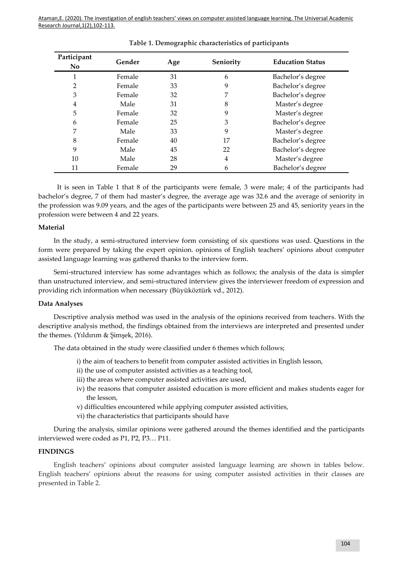| Participant<br>No. | Gender | Age | Seniority | <b>Education Status</b> |
|--------------------|--------|-----|-----------|-------------------------|
|                    | Female | 31  | 6         | Bachelor's degree       |
| 2                  | Female | 33  | 9         | Bachelor's degree       |
| З                  | Female | 32  | 7         | Bachelor's degree       |
| 4                  | Male   | 31  | 8         | Master's degree         |
| 5                  | Female | 32  | 9         | Master's degree         |
| 6                  | Female | 25  | 3         | Bachelor's degree       |
| 7                  | Male   | 33  | 9         | Master's degree         |
| 8                  | Female | 40  | 17        | Bachelor's degree       |
| 9                  | Male   | 45  | 22        | Bachelor's degree       |
| 10                 | Male   | 28  | 4         | Master's degree         |
| 11                 | Female | 29  | 6         | Bachelor's degree       |

 It is seen in Table 1 that 8 of the participants were female, 3 were male; 4 of the participants had bachelor's degree, 7 of them had master's degree, the average age was 32.6 and the average of seniority in the profession was 9.09 years, and the ages of the participants were between 25 and 45, seniority years in the profession were between 4 and 22 years.

## **Material**

In the study, a semi-structured interview form consisting of six questions was used. Questions in the form were prepared by taking the expert opinion. opinions of English teachers' opinions about computer assisted language learning was gathered thanks to the interview form.

Semi-structured interview has some advantages which as follows; the analysis of the data is simpler than unstructured interview, and semi-structured interview gives the interviewer freedom of expression and providing rich information when necessary (Büyüköztürk vd., 2012).

### **Data Analyses**

Descriptive analysis method was used in the analysis of the opinions received from teachers. With the descriptive analysis method, the findings obtained from the interviews are interpreted and presented under the themes. (Yıldırım & Şimşek, 2016).

The data obtained in the study were classified under 6 themes which follows;

- i) the aim of teachers to benefit from computer assisted activities in English lesson,
- ii) the use of computer assisted activities as a teaching tool,
- iii) the areas where computer assisted activities are used,
- iv) the reasons that computer assisted education is more efficient and makes students eager for the lesson,
- v) difficulties encountered while applying computer assisted activities,
- vi) the characteristics that participants should have

During the analysis, similar opinions were gathered around the themes identified and the participants interviewed were coded as P1, P2, P3… P11.

### **FINDINGS**

English teachers' opinions about computer assisted language learning are shown in tables below. English teachers' opinions about the reasons for using computer assisted activities in their classes are presented in Table 2.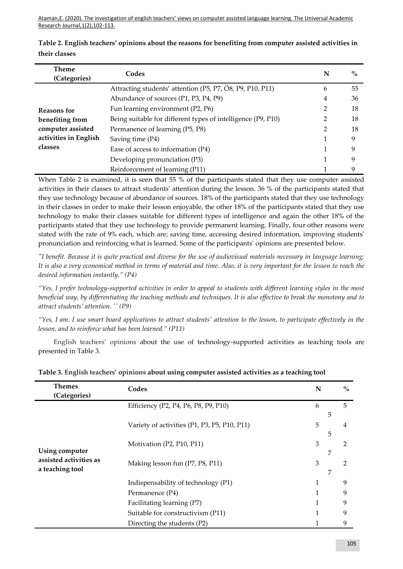| <b>Theme</b><br>(Categories) | Codes                                                        | N | $\%$ |
|------------------------------|--------------------------------------------------------------|---|------|
|                              | Attracting students' attention (P5, P7, O8, P9, P10, P11)    | 6 | 55   |
|                              | Abundance of sources (P1, P3, P4, P9)                        | 4 | 36   |
| Reasons for                  | Fun learning environment (P2, P6)                            | 2 | 18   |
| benefiting from              | Being suitable for different types of intelligence (P9, P10) | 2 | 18   |
| computer assisted            | Permanence of learning (P5, P8)                              | 2 | 18   |
| activities in English        | Saving time $(P4)$                                           |   | 9    |
| classes                      | Ease of access to information (P4)                           |   | 9    |
|                              | Developing pronunciation (P3)                                |   | q    |
|                              | Reinforcement of learning (P11)                              |   | 9    |

|               | Table 2. English teachers' opinions about the reasons for benefiting from computer assisted activities in |
|---------------|-----------------------------------------------------------------------------------------------------------|
| their classes |                                                                                                           |

When Table 2 is examined, it is seen that 55 % of the participants stated that they use computer assisted activities in their classes to attract students' attention during the lesson. 36 % of the participants stated that they use technology because of abundance of sources. 18% of the participants stated that they use technology in their classes in order to make their lesson enjoyable, the other 18% of the participants stated that they use technology to make their classes suitable for different types of intelligence and again the other 18% of the participants stated that they use technology to provide permanent learning. Finally, four other reasons were stated with the rate of 9% each, which are; saving time, accessing desired information, improving students' pronunciation and reinforcing what is learned. Some of the participants' opinions are presented below.

*"I benefit. Because it is quite practical and diverse for the use of audiovisual materials necessary in language learning; It is also a very economical method in terms of material and time. Also, it is very important for the lesson to reach the desired information instantly." (P4)*

*"Yes, I prefer technology-supported activities in order to appeal to students with different learning styles in the most beneficial way, by differentiating the teaching methods and techniques. It is also effective to break the monotony and to attract students' attention. '' (P9)*

*"Yes, I am. I use smart board applications to attract students' attention to the lesson, to participate effectively in the lesson, and to reinforce what has been learned." (P11)*

English teachers' opinions about the use of technology-supported activities as teaching tools are presented in Table 3.

| <b>Themes</b><br>(Categories)             | Codes                                        | N | $\%$                |
|-------------------------------------------|----------------------------------------------|---|---------------------|
|                                           | Efficiency (P2, P4, P6, P8, P9, P10)         | 6 | 5<br>5              |
|                                           | Variety of activities (P1, P3, P5, P10, P11) | 5 | $\overline{4}$<br>5 |
| Using computer                            | Motivation (P2, P10, P11)                    | 3 | $\mathfrak{D}$      |
| assisted activities as<br>a teaching tool | Making lesson fun (P7, P8, P11)              | 3 | 2                   |
|                                           | Indispensability of technology (P1)          | 1 | 9                   |
|                                           | Permanence (P4)                              |   | 9                   |
|                                           | Facilitating learning (P7)                   |   | 9                   |
|                                           | Suitable for constructivism (P11)            |   | 9                   |
|                                           | Directing the students (P2)                  |   | 9                   |

# **Table 3. English teachers' opinions about using computer assisted activities as a teaching tool**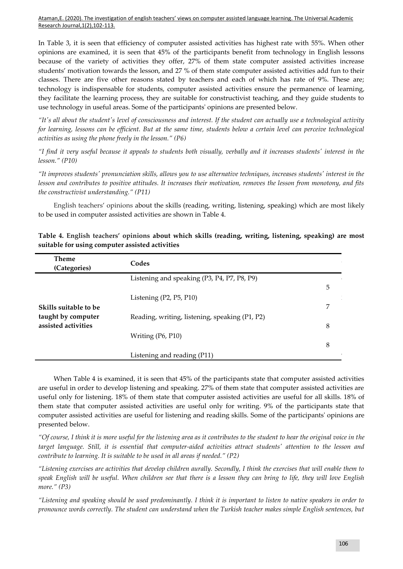In Table 3, it is seen that efficiency of computer assisted activities has highest rate with 55%. When other opinions are examined, it is seen that 45% of the participants benefit from technology in English lessons because of the variety of activities they offer, 27% of them state computer assisted activities increase students' motivation towards the lesson, and 27 % of them state computer assisted activities add fun to their classes. There are five other reasons stated by teachers and each of which has rate of 9%. These are; technology is indispensable for students, computer assisted activities ensure the permanence of learning, they facilitate the learning process, they are suitable for constructivist teaching, and they guide students to use technology in useful areas. Some of the participants' opinions are presented below.

*"It's all about the student's level of consciousness and interest. If the student can actually use a technological activity for learning, lessons can be efficient. But at the same time, students below a certain level can perceive technological activities as using the phone freely in the lesson." (P6)*

*"I find it very useful because it appeals to students both visually, verbally and it increases students' interest in the lesson." (P10)*

*"It improves students' pronunciation skills, allows you to use alternative techniques, increases students' interest in the lesson and contributes to positive attitudes. It increases their motivation, removes the lesson from monotony, and fits the constructivist understanding." (P11)*

English teachers' opinions about the skills (reading, writing, listening, speaking) which are most likely to be used in computer assisted activities are shown in Table 4.

| <b>Theme</b><br>(Categories) | Codes                                          |   |
|------------------------------|------------------------------------------------|---|
|                              | Listening and speaking (P3, P4, P7, P8, P9)    |   |
|                              |                                                | 5 |
|                              | Listening $(P2, P5, P10)$                      |   |
| Skills suitable to be        |                                                | 7 |
| taught by computer           | Reading, writing, listening, speaking (P1, P2) |   |
| assisted activities          |                                                | 8 |
|                              | Writing (P6, P10)                              |   |
|                              |                                                | 8 |
|                              | Listening and reading (P11)                    |   |

|  |                                                 |  |  |  | Table 4. English teachers' opinions about which skills (reading, writing, listening, speaking) are most |  |
|--|-------------------------------------------------|--|--|--|---------------------------------------------------------------------------------------------------------|--|
|  | suitable for using computer assisted activities |  |  |  |                                                                                                         |  |

When Table 4 is examined, it is seen that 45% of the participants state that computer assisted activities are useful in order to develop listening and speaking. 27% of them state that computer assisted activities are useful only for listening. 18% of them state that computer assisted activities are useful for all skills. 18% of them state that computer assisted activities are useful only for writing. 9% of the participants state that computer assisted activities are useful for listening and reading skills. Some of the participants' opinions are presented below.

*"Of course, I think it is more useful for the listening area as it contributes to the student to hear the original voice in the target language. Still, it is essential that computer-aided activities attract students' attention to the lesson and contribute to learning. It is suitable to be used in all areas if needed." (P2)*

*"Listening exercises are activities that develop children aurally. Secondly, I think the exercises that will enable them to speak English will be useful. When children see that there is a lesson they can bring to life, they will love English more." (P3)*

*"Listening and speaking should be used predominantly. I think it is important to listen to native speakers in order to pronounce words correctly. The student can understand when the Turkish teacher makes simple English sentences, but*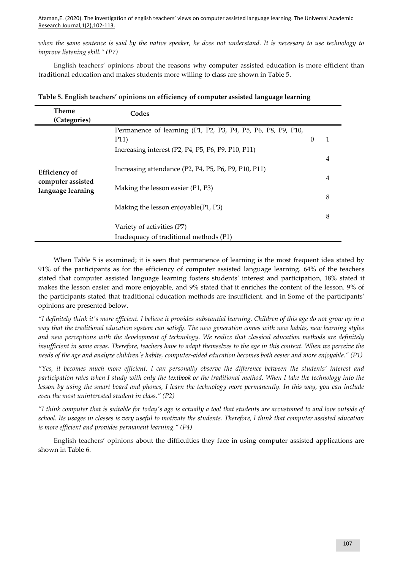*when the same sentence is said by the native speaker, he does not understand. It is necessary to use technology to improve listening skill." (P7)*

English teachers' opinions about the reasons why computer assisted education is more efficient than traditional education and makes students more willing to class are shown in Table 5.

| <b>Theme</b><br>(Categories)                                   | Codes                                                                                                                      |          |        |
|----------------------------------------------------------------|----------------------------------------------------------------------------------------------------------------------------|----------|--------|
|                                                                | Permanence of learning (P1, P2, P3, P4, P5, P6, P8, P9, P10,<br>P11)<br>Increasing interest (P2, P4, P5, P6, P9, P10, P11) | $\Omega$ | 1      |
| <b>Efficiency of</b><br>computer assisted<br>language learning | Increasing attendance (P2, P4, P5, P6, P9, P10, P11)                                                                       |          | 4<br>4 |
|                                                                | Making the lesson easier (P1, P3)                                                                                          |          | 8      |
|                                                                | Making the lesson enjoyable $(P1, P3)$                                                                                     |          | 8      |
|                                                                | Variety of activities (P7)                                                                                                 |          |        |
|                                                                | Inadequacy of traditional methods (P1)                                                                                     |          |        |

**Table 5. English teachers' opinions on efficiency of computer assisted language learning**

When Table 5 is examined; it is seen that permanence of learning is the most frequent idea stated by 91% of the participants as for the efficiency of computer assisted language learning. 64% of the teachers stated that computer assisted language learning fosters students' interest and participation, 18% stated it makes the lesson easier and more enjoyable, and 9% stated that it enriches the content of the lesson. 9% of the participants stated that traditional education methods are insufficient. and in Some of the participants' opinions are presented below.

*"I definitely think it's more efficient. I believe it provides substantial learning. Children of this age do not grow up in a way that the traditional education system can satisfy. The new generation comes with new habits, new learning styles and new perceptions with the development of technology. We realize that classical education methods are definitely insufficient in some areas. Therefore, teachers have to adapt themselves to the age in this context. When we perceive the needs of the age and analyze children's habits, computer-aided education becomes both easier and more enjoyable." (P1)*

*"Yes, it becomes much more efficient. I can personally observe the difference between the students' interest and participation rates when I study with only the textbook or the traditional method. When I take the technology into the lesson by using the smart board and phones, I learn the technology more permanently. In this way, you can include even the most uninterested student in class." (P2)*

*"I think computer that is suitable for today's age is actually a tool that students are accustomed to and love outside of school. Its usages in classes is very useful to motivate the students. Therefore, I think that computer assisted education is more efficient and provides permanent learning." (P4)*

English teachers' opinions about the difficulties they face in using computer assisted applications are shown in Table 6.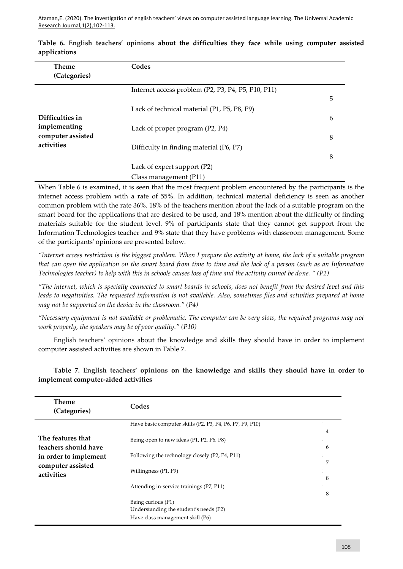| <b>Theme</b><br>(Categories)    | Codes                                              |   |
|---------------------------------|----------------------------------------------------|---|
|                                 | Internet access problem (P2, P3, P4, P5, P10, P11) |   |
|                                 | Lack of technical material (P1, P5, P8, P9)        | 5 |
| Difficulties in<br>implementing |                                                    | 6 |
| computer assisted               | Lack of proper program (P2, P4)                    | 8 |
| activities                      | Difficulty in finding material (P6, P7)            | 8 |
|                                 | Lack of expert support (P2)                        |   |
|                                 | Class management (P11)                             |   |

**Table 6. English teachers' opinions about the difficulties they face while using computer assisted applications**

When Table 6 is examined, it is seen that the most frequent problem encountered by the participants is the internet access problem with a rate of 55%. In addition, technical material deficiency is seen as another common problem with the rate 36%. 18% of the teachers mention about the lack of a suitable program on the smart board for the applications that are desired to be used, and 18% mention about the difficulty of finding materials suitable for the student level. 9% of participants state that they cannot get support from the Information Technologies teacher and 9% state that they have problems with classroom management. Some of the participants' opinions are presented below.

*"Internet access restriction is the biggest problem. When I prepare the activity at home, the lack of a suitable program that can open the application on the smart board from time to time and the lack of a person (such as an Information Technologies teacher) to help with this in schools causes loss of time and the activity cannot be done. " (P2)*

*"The internet, which is specially connected to smart boards in schools, does not benefit from the desired level and this leads to negativities. The requested information is not available. Also, sometimes files and activities prepared at home may not be supported on the device in the classroom." (P4)*

*"Necessary equipment is not available or problematic. The computer can be very slow, the required programs may not work properly, the speakers may be of poor quality." (P10)*

English teachers' opinions about the knowledge and skills they should have in order to implement computer assisted activities are shown in Table 7.

| <b>Theme</b><br>(Categories)              | Codes                                                                                            |        |
|-------------------------------------------|--------------------------------------------------------------------------------------------------|--------|
|                                           | Have basic computer skills (P2, P3, P4, P6, P7, P9, P10)                                         |        |
| The features that<br>teachers should have | Being open to new ideas (P1, P2, P6, P8)                                                         | 4<br>6 |
| in order to implement                     | Following the technology closely (P2, P4, P11)                                                   |        |
| computer assisted<br>activities           | Willingness (P1, P9)                                                                             | 7<br>8 |
|                                           | Attending in-service trainings (P7, P11)                                                         | 8      |
|                                           | Being curious (P1)<br>Understanding the student's needs (P2)<br>Have class management skill (P6) |        |

**Table 7. English teachers' opinions on the knowledge and skills they should have in order to implement computer-aided activities**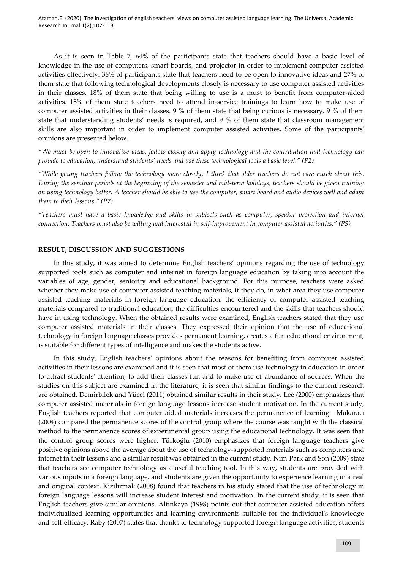As it is seen in Table 7, 64% of the participants state that teachers should have a basic level of knowledge in the use of computers, smart boards, and projector in order to implement computer assisted activities effectively. 36% of participants state that teachers need to be open to innovative ideas and 27% of them state that following technological developments closely is necessary to use computer assisted activities in their classes. 18% of them state that being willing to use is a must to benefit from computer-aided activities. 18% of them state teachers need to attend in-service trainings to learn how to make use of computer assisted activities in their classes. 9 % of them state that being curious is necessary, 9 % of them state that understanding students' needs is required, and 9 % of them state that classroom management skills are also important in order to implement computer assisted activities. Some of the participants' opinions are presented below.

*"We must be open to innovative ideas, follow closely and apply technology and the contribution that technology can provide to education, understand students' needs and use these technological tools a basic level." (P2)*

*"While young teachers follow the technology more closely, I think that older teachers do not care much about this. During the seminar periods at the beginning of the semester and mid-term holidays, teachers should be given training on using technology better. A teacher should be able to use the computer, smart board and audio devices well and adapt them to their lessons." (P7)*

*"Teachers must have a basic knowledge and skills in subjects such as computer, speaker projection and internet connection. Teachers must also be willing and interested in self-improvement in computer assisted activities." (P9)*

## **RESULT, DISCUSSION AND SUGGESTIONS**

In this study, it was aimed to determine English teachers' opinions regarding the use of technology supported tools such as computer and internet in foreign language education by taking into account the variables of age, gender, seniority and educational background. For this purpose, teachers were asked whether they make use of computer assisted teaching materials, if they do, in what area they use computer assisted teaching materials in foreign language education, the efficiency of computer assisted teaching materials compared to traditional education, the difficulties encountered and the skills that teachers should have in using technology. When the obtained results were examined, English teachers stated that they use computer assisted materials in their classes. They expressed their opinion that the use of educational technology in foreign language classes provides permanent learning, creates a fun educational environment, is suitable for different types of intelligence and makes the students active.

In this study, English teachers' opinions about the reasons for benefiting from computer assisted activities in their lessons are examined and it is seen that most of them use technology in education in order to attract students' attention, to add their classes fun and to make use of abundance of sources. When the studies on this subject are examined in the literature, it is seen that similar findings to the current research are obtained. Demirbilek and Yücel (2011) obtained similar results in their study. Lee (2000) emphasizes that computer assisted materials in foreign language lessons increase student motivation. In the current study, English teachers reported that computer aided materials increases the permanence of learning. Makaracı (2004) compared the permanence scores of the control group where the course was taught with the classical method to the permanence scores of experimental group using the educational technology. It was seen that the control group scores were higher. Türkoğlu (2010) emphasizes that foreign language teachers give positive opinions above the average about the use of technology-supported materials such as computers and internet in their lessons and a similar result was obtained in the current study. Nim Park and Son (2009) state that teachers see computer technology as a useful teaching tool. In this way, students are provided with various inputs in a foreign language, and students are given the opportunity to experience learning in a real and original context. Kızılırmak (2008) found that teachers in his study stated that the use of technology in foreign language lessons will increase student interest and motivation. In the current study, it is seen that English teachers give similar opinions. Altınkaya (1998) points out that computer-assisted education offers individualized learning opportunities and learning environments suitable for the individual's knowledge and self-efficacy. Raby (2007) states that thanks to technology supported foreign language activities, students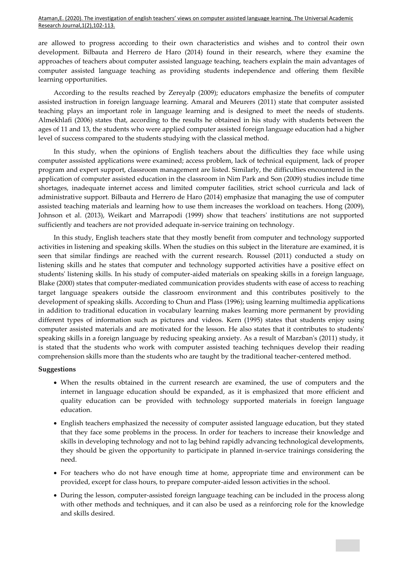are allowed to progress according to their own characteristics and wishes and to control their own development. Bilbauta and Herrero de Haro (2014) found in their research, where they examine the approaches of teachers about computer assisted language teaching, teachers explain the main advantages of computer assisted language teaching as providing students independence and offering them flexible learning opportunities.

According to the results reached by Zereyalp (2009); educators emphasize the benefits of computer assisted instruction in foreign language learning. Amaral and Meurers (2011) state that computer assisted teaching plays an important role in language learning and is designed to meet the needs of students. Almekhlafi (2006) states that, according to the results he obtained in his study with students between the ages of 11 and 13, the students who were applied computer assisted foreign language education had a higher level of success compared to the students studying with the classical method.

In this study, when the opinions of English teachers about the difficulties they face while using computer asssisted applications were examined; access problem, lack of technical equipment, lack of proper program and expert support, classroom management are listed. Similarly, the difficulties encountered in the application of computer assisted education in the classroom in Nim Park and Son (2009) studies include time shortages, inadequate internet access and limited computer facilities, strict school curricula and lack of administrative support. Bilbauta and Herrero de Haro (2014) emphasize that managing the use of computer assisted teaching materials and learning how to use them increases the workload on teachers. Hong (2009), Johnson et al. (2013), Weikart and Marrapodi (1999) show that teachers' institutions are not supported sufficiently and teachers are not provided adequate in-service training on technology.

In this study, English teachers state that they mostly benefit from computer and technology supported activities in listening and speaking skills. When the studies on this subject in the literature are examined, it is seen that similar findings are reached with the current research. Roussel (2011) conducted a study on listening skills and he states that computer and technology supported activities have a positive effect on students' listening skills. In his study of computer-aided materials on speaking skills in a foreign language, Blake (2000) states that computer-mediated communication provides students with ease of access to reaching target language speakers outside the classroom environment and this contributes positively to the development of speaking skills. According to Chun and Plass (1996); using learning multimedia applications in addition to traditional education in vocabulary learning makes learning more permanent by providing different types of information such as pictures and videos. Kern (1995) states that students enjoy using computer assisted materials and are motivated for the lesson. He also states that it contributes to students' speaking skills in a foreign language by reducing speaking anxiety. As a result of Marzban's (2011) study, it is stated that the students who work with computer assisted teaching techniques develop their reading comprehension skills more than the students who are taught by the traditional teacher-centered method.

## **Suggestions**

- When the results obtained in the current research are examined, the use of computers and the internet in language education should be expanded, as it is emphasized that more efficient and quality education can be provided with technology supported materials in foreign language education.
- English teachers emphasized the necessity of computer assisted language education, but they stated that they face some problems in the process. In order for teachers to increase their knowledge and skills in developing technology and not to lag behind rapidly advancing technological developments, they should be given the opportunity to participate in planned in-service trainings considering the need.
- For teachers who do not have enough time at home, appropriate time and environment can be provided, except for class hours, to prepare computer-aided lesson activities in the school.
- During the lesson, computer-assisted foreign language teaching can be included in the process along with other methods and techniques, and it can also be used as a reinforcing role for the knowledge and skills desired.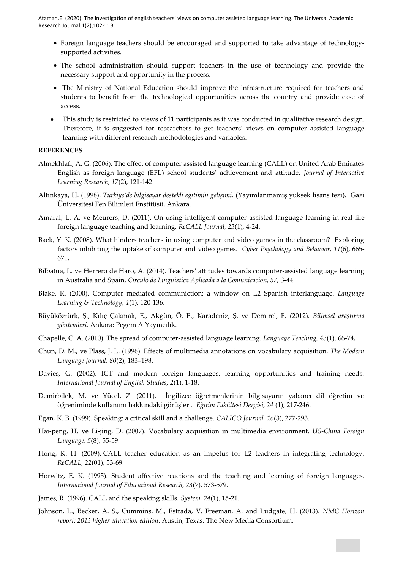- Foreign language teachers should be encouraged and supported to take advantage of technologysupported activities.
- The school administration should support teachers in the use of technology and provide the necessary support and opportunity in the process.
- The Ministry of National Education should improve the infrastructure required for teachers and students to benefit from the technological opportunities across the country and provide ease of access.
- This study is restricted to views of 11 participants as it was conducted in qualitative research design. Therefore, it is suggested for researchers to get teachers' views on computer assisted language learning with different research methodologies and variables.

## **REFERENCES**

- Almekhlafı, A. G. (2006). The effect of computer assisted language learning (CALL) on United Arab Emirates English as foreign language (EFL) school students' achievement and attitude. *Journal of Interactive Learning Research, 17*(2), 121-142.
- Altınkaya, H. (1998). *Türkiye'de bilgisayar destekli eğitimin gelişimi.* (Yayımlanmamış yüksek lisans tezi). Gazi Üniversitesi Fen Bilimleri Enstitüsü, Ankara.
- Amaral, L. A. ve Meurers, D. (2011). On using intelligent computer-assisted language learning in real-life foreign language teaching and learning. *ReCALL Journal, 23*(1), 4-24.
- Baek, Y. K. (2008). What hinders teachers in using computer and video games in the classroom? Exploring factors inhibiting the uptake of computer and video games. *Cyber Psychology and Behavior*, *11*(6), 665- 671.
- Bilbatua, L. ve Herrero de Haro, A. (2014). Teachers' attitudes towards computer-assisted language learning in Australia and Spain. *Circulo de Linguistica Aplicada a la Comunicacion, 57,* 3-44.
- Blake, R. (2000). Computer mediated communiction: a window on L2 Spanish interlanguage. *Language Learning & Technology, 4*(1), 120-136.
- Büyüköztürk, Ş., Kılıç Çakmak, E., Akgün, Ö. E., Karadeniz, Ş. ve Demirel, F. (2012). *Bilimsel araştırma yöntemleri.* Ankara: Pegem A Yayıncılık.
- Chapelle, C. A. (2010). The spread of computer-assisted language learning. *Language Teaching, 43*(1), 66-74**.**
- Chun, D. M., ve Plass, J. L. (1996). Effects of multimedia annotations on vocabulary acquisition. *The Modern Language Journal, 80*(2), 183–198.
- Davies, G. (2002). ICT and modern foreign languages: learning opportunities and training needs. *International Journal of English Studies, 2*(1), 1-18.
- Demirbilek, M. ve Yücel, Z. (2011). İngilizce öğretmenlerinin bilgisayarın yabancı dil öğretim ve öğreniminde kullanımı hakkındaki görüşleri*. Eğitim Fakültesi Dergisi, 24* (1), 217-246.
- Egan, K. B. (1999). Speaking: a critical skill and a challenge. *CALICO Journal, 16*(3), 277-293.
- Hai-peng, H. ve Li-jing, D. (2007). Vocabulary acquisition in multimedia environment. *US-China Foreign Language, 5*(8), 55-59.
- Hong, K. H. (2009). CALL teacher education as an impetus for L2 teachers in integrating technology*. ReCALL, 22*(01), 53-69.
- Horwitz, E. K. (1995). Student affective reactions and the teaching and learning of foreign languages*. International Journal of Educational Research, 23*(7), 573-579.
- James, R. (1996). CALL and the speaking skills. *System, 24*(1), 15-21.
- Johnson, L., Becker, A. S., Cummins, M., Estrada, V. Freeman, A. and Ludgate, H. (2013). *NMC Horizon report: 2013 higher education edition*. Austin, Texas: The New Media Consortium.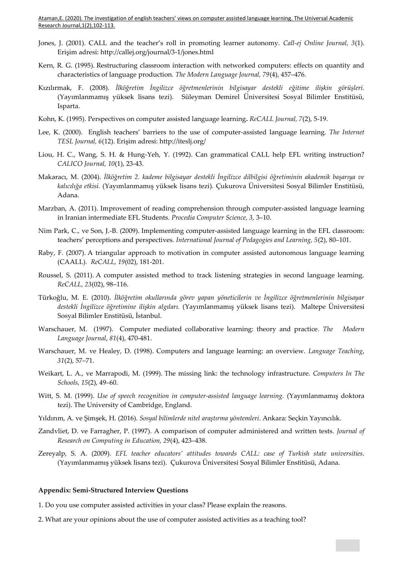- Jones, J. (2001). CALL and the teacher's roll in promoting learner autonomy. *Call-ej Online Journal, 3*(1). Erişim adresi: http://callej.org/journal/3-1/jones.html
- Kern, R. G. (1995). Restructuring classroom interaction with networked computers: effects on quantity and characteristics of language production*. The Modern Language Journal, 79*(4), 457–476.
- Kızılırmak, F. (2008). *İlköğretim İngilizce öğretmenlerinin bilgisayar destekli eğitime ilişkin görüşleri.*  (Yayımlanmamış yüksek lisans tezi). Süleyman Demirel Üniversitesi Sosyal Bilimler Enstitüsü, Isparta.
- Kohn, K. (1995). Perspectives on computer assisted language learning**.** *ReCALL Journal, 7*(2), 5-19.
- Lee, K. (2000). English teachers' barriers to the use of computer-assisted language learning. *The Internet TESL Journal, 6*(12). Erişim adresi: http://iteslj.org/
- Liou, H. C., Wang, S. H. & Hung-Yeh, Y. (1992). Can grammatical CALL help EFL writing instruction? *CALICO Journal, 10*(1), 23-43.
- Makaracı, M. (2004). *İlköğretim 2. kademe bilgisayar destekli İngilizce dilbilgisi öğretiminin akademik başarıya ve kalıcılığa etkisi.* (Yayımlanmamış yüksek lisans tezi). Çukurova Üniversitesi Sosyal Bilimler Enstitüsü, Adana.
- Marzban, A. (2011). Improvement of reading comprehension through computer-assisted language learning in Iranian intermediate EFL Students. *Procedia Computer Science, 3,* 3–10.
- Nim Park, C., ve Son, J.-B. (2009). Implementing computer-assisted language learning in the EFL classroom: teachers' perceptions and perspectives*. International Journal of Pedagogies and Learning, 5*(2), 80–101.
- Raby, F. (2007). A triangular approach to motivation in computer assisted autonomous language learning (CAALL)*. ReCALL, 19*(02), 181-201.
- Roussel, S. (2011). A computer assisted method to track listening strategies in second language learning. *ReCALL, 23*(02), 98–116.
- Türkoğlu, M. E. (2010). *İlköğretim okullarında görev yapan yöneticilerin ve İngilizce öğretmenlerinin bilgisayar destekli İngilizce öğretimine ilişkin algıları.* (Yayımlanmamış yüksek lisans tezi). Maltepe Üniversitesi Sosyal Bilimler Enstitüsü, İstanbul.
- Warschauer, M. (1997). Computer mediated collaborative learning: theory and practice*. The Modern Language Journal*, *81*(4), 470-481.
- Warschauer, M. ve Healey, D. (1998). Computers and language learning: an overview. *Language Teaching*, *31*(2), 57–71.
- Weikart, L. A., ve Marrapodi, M. (1999). The missing link: the technology infrastructure. *Computers In The Schools, 15*(2), 49–60.
- Witt, S. M. (1999). *Use of speech recognition in computer-assisted language learning.* (Yayımlanmamış doktora tezi). The University of Cambridge, England.
- Yıldırım, A. ve Şimşek, H. (2016). *Sosyal bilimlerde nitel araştırma yöntemleri*. Ankara: Seçkin Yayıncılık.
- Zandvliet, D. ve Farragher, P. (1997). A comparison of computer administered and written tests. *Journal of Research on Computing in Education, 29*(4), 423–438.
- Zereyalp, S. A. (2009)*. EFL teacher educators' attitudes towards CALL: case of Turkish state universities.* (Yayımlanmamış yüksek lisans tezi). Çukurova Üniversitesi Sosyal Bilimler Enstitüsü, Adana.

### **Appendix: Semi-Structured Interview Questions**

- 1. Do you use computer assisted activities in your class? Please explain the reasons.
- 2. What are your opinions about the use of computer assisted activities as a teaching tool?